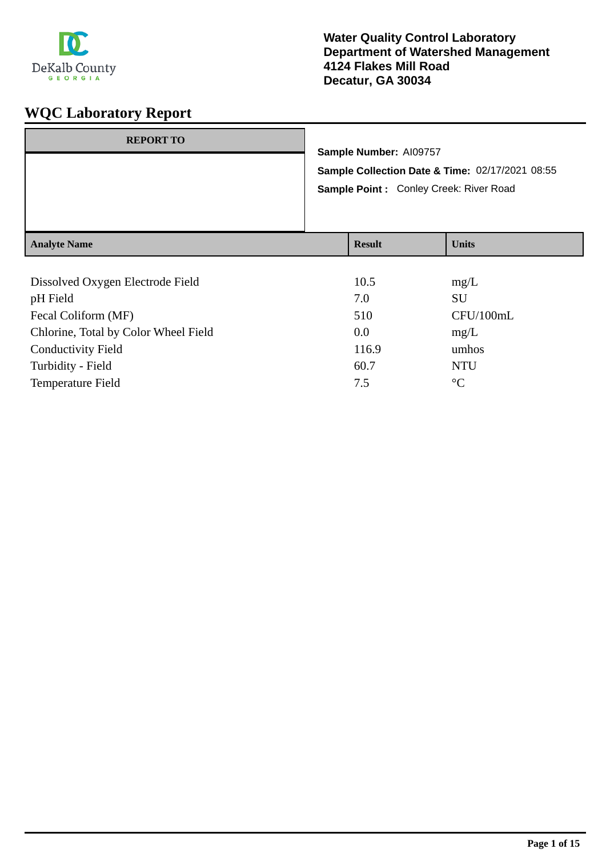

| <b>REPORT TO</b>    | Sample Number: AI09757<br>Sample Collection Date & Time: 02/17/2021 08:55<br>Sample Point: Conley Creek: River Road |               |              |
|---------------------|---------------------------------------------------------------------------------------------------------------------|---------------|--------------|
| <b>Analyte Name</b> |                                                                                                                     | <b>Result</b> | <b>Units</b> |

| Dissolved Oxygen Electrode Field     | 10.5  | mg/L            |
|--------------------------------------|-------|-----------------|
| pH Field                             | 7.0   | SU              |
| Fecal Coliform (MF)                  | 510   | CFU/100mL       |
| Chlorine, Total by Color Wheel Field | 0.0   | mg/L            |
| <b>Conductivity Field</b>            | 116.9 | umhos           |
| Turbidity - Field                    | 60.7  | <b>NTU</b>      |
| <b>Temperature Field</b>             | 7.5   | $\rm ^{\circ}C$ |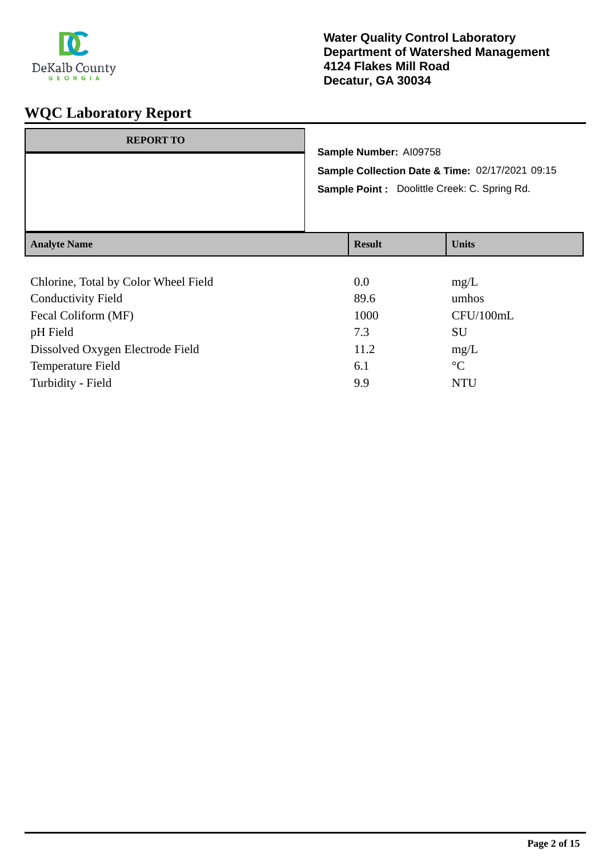

| <b>REPORT TO</b>    | Sample Number: AI09758<br>Sample Point : Doolittle Creek: C. Spring Rd. | Sample Collection Date & Time: 02/17/2021 09:15 |
|---------------------|-------------------------------------------------------------------------|-------------------------------------------------|
| <b>Analyte Name</b> | <b>Result</b>                                                           | <b>Units</b>                                    |

| Chlorine, Total by Color Wheel Field | 0.0  | mg/L            |
|--------------------------------------|------|-----------------|
| <b>Conductivity Field</b>            | 89.6 | umhos           |
| Fecal Coliform (MF)                  | 1000 | CFU/100mL       |
| pH Field                             | 7.3  | SU              |
| Dissolved Oxygen Electrode Field     | 11.2 | mg/L            |
| <b>Temperature Field</b>             | 6.1  | $\rm ^{\circ}C$ |
| Turbidity - Field                    | 9.9  | <b>NTU</b>      |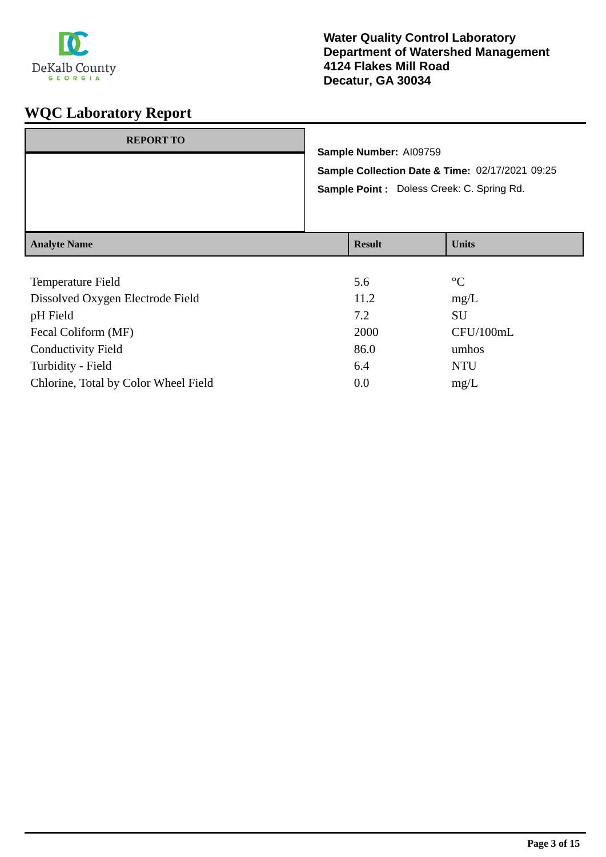

| <b>REPORT TO</b>    | Sample Number: AI09759 | Sample Collection Date & Time: 02/17/2021 09:25<br>Sample Point : Doless Creek: C. Spring Rd. |
|---------------------|------------------------|-----------------------------------------------------------------------------------------------|
| <b>Analyte Name</b> | <b>Result</b>          | <b>Units</b>                                                                                  |

| Temperature Field                    | 5.6  | $\rm ^{\circ}C$ |
|--------------------------------------|------|-----------------|
| Dissolved Oxygen Electrode Field     | 11.2 | mg/L            |
| pH Field                             | 7.2  | SU              |
| Fecal Coliform (MF)                  | 2000 | CFU/100mL       |
| <b>Conductivity Field</b>            | 86.0 | umhos           |
| Turbidity - Field                    | 6.4  | <b>NTU</b>      |
| Chlorine, Total by Color Wheel Field | 0.0  | mg/L            |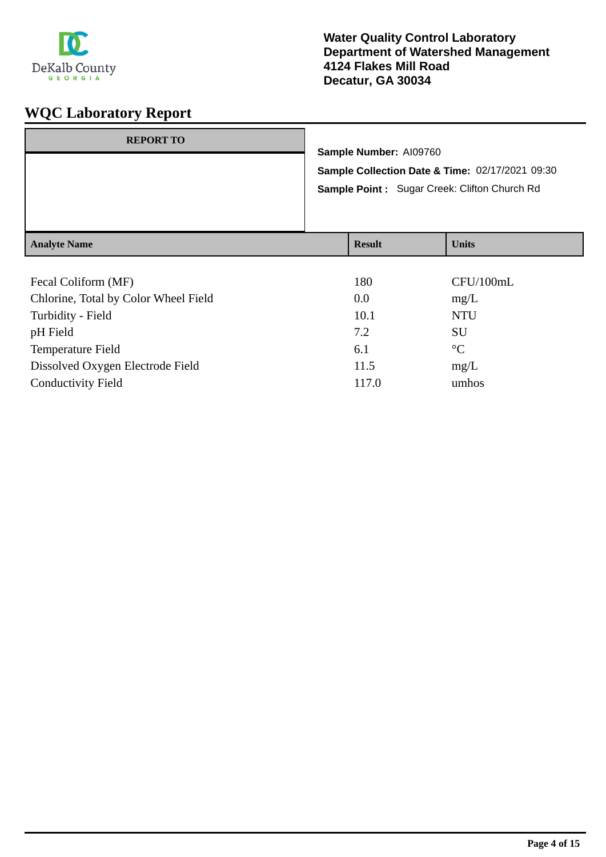

## **Water Quality Control Laboratory Department of Watershed Management 4124 Flakes Mill Road Decatur, GA 30034**

| <b>REPORT TO</b>    |               | Sample Number: AI09760 | Sample Collection Date & Time: 02/17/2021 09:30<br>Sample Point: Sugar Creek: Clifton Church Rd |
|---------------------|---------------|------------------------|-------------------------------------------------------------------------------------------------|
| <b>Analyte Name</b> | <b>Result</b> |                        | <b>Units</b>                                                                                    |

| 180   | CFU/100mL       |
|-------|-----------------|
| 0.0   | mg/L            |
| 10.1  | <b>NTU</b>      |
| 7.2   | SU              |
| 6.1   | $\rm ^{\circ}C$ |
| 11.5  | mg/L            |
| 117.0 | umhos           |
|       |                 |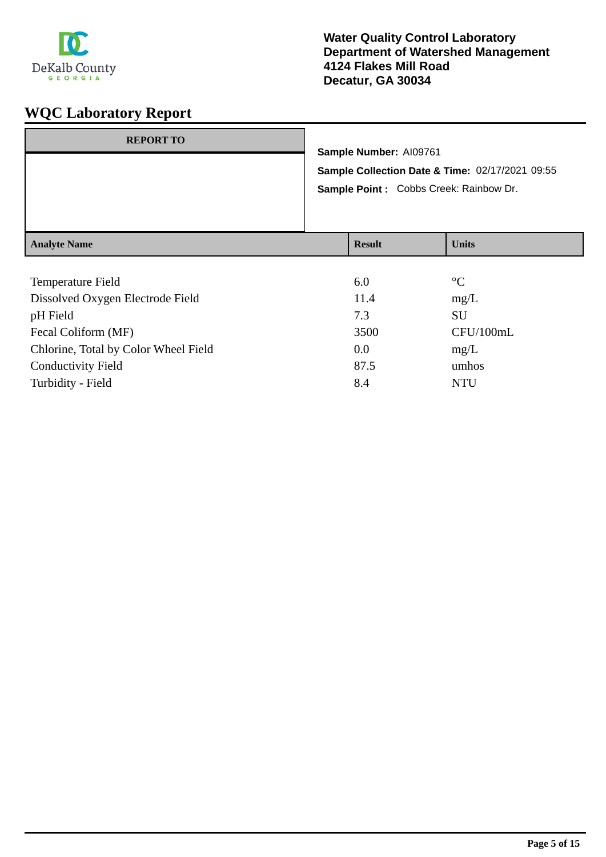

| <b>REPORT TO</b>    | Sample Number: AI09761<br>Sample Point : Cobbs Creek: Rainbow Dr. | Sample Collection Date & Time: 02/17/2021 09:55 |
|---------------------|-------------------------------------------------------------------|-------------------------------------------------|
| <b>Analyte Name</b> | <b>Result</b>                                                     | <b>Units</b>                                    |

| 6.0  | $\rm ^{\circ}C$ |
|------|-----------------|
| 11.4 | mg/L            |
| 7.3  | <b>SU</b>       |
| 3500 | CFU/100mL       |
| 0.0  | mg/L            |
| 87.5 | umhos           |
| 8.4  | <b>NTU</b>      |
|      |                 |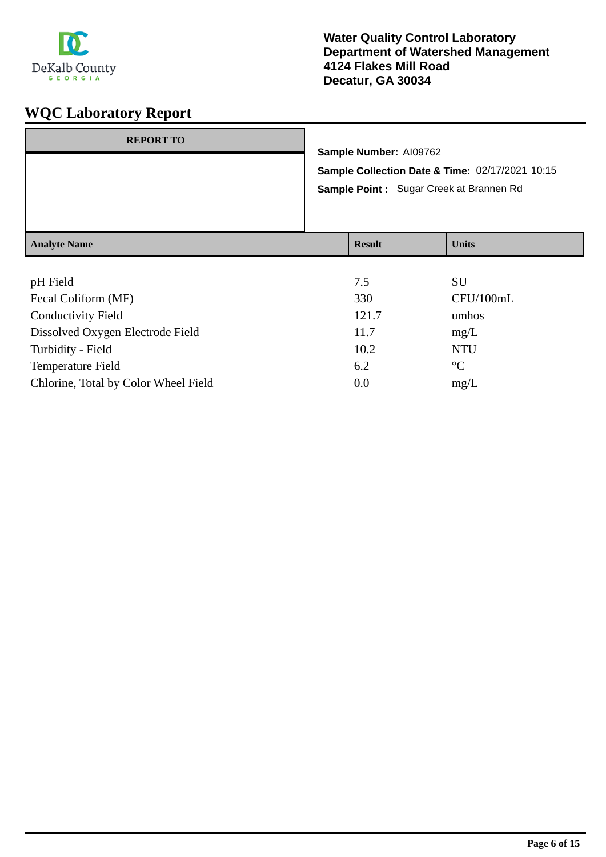

| <b>REPORT TO</b>    | Sample Number: AI09762<br>Sample Point: Sugar Creek at Brannen Rd | Sample Collection Date & Time: 02/17/2021 10:15 |
|---------------------|-------------------------------------------------------------------|-------------------------------------------------|
| <b>Analyte Name</b> | <b>Result</b>                                                     | <b>Units</b>                                    |

| pH Field                             | 7.5   | SU              |
|--------------------------------------|-------|-----------------|
| Fecal Coliform (MF)                  | 330   | CFU/100mL       |
| <b>Conductivity Field</b>            | 121.7 | umhos           |
| Dissolved Oxygen Electrode Field     | 11.7  | mg/L            |
| Turbidity - Field                    | 10.2  | <b>NTU</b>      |
| Temperature Field                    | 6.2   | $\rm ^{\circ}C$ |
| Chlorine, Total by Color Wheel Field | 0.0   | mg/L            |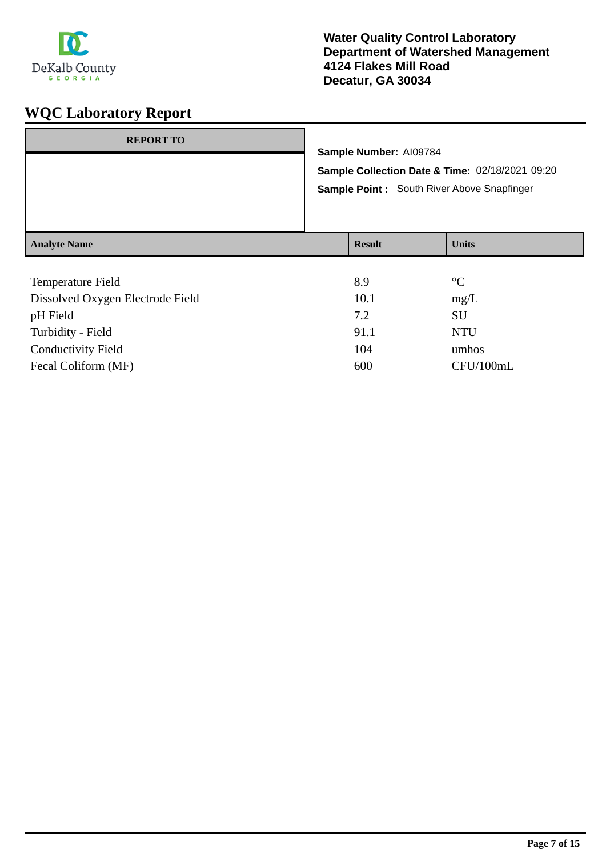

| <b>REPORT TO</b>    | Sample Number: AI09784<br>Sample Collection Date & Time: 02/18/2021 09:20<br>Sample Point: South River Above Snapfinger |               |              |
|---------------------|-------------------------------------------------------------------------------------------------------------------------|---------------|--------------|
| <b>Analyte Name</b> |                                                                                                                         | <b>Result</b> | <b>Units</b> |

| <b>Temperature Field</b>         | 8.9  | $\rm ^{\circ}C$ |
|----------------------------------|------|-----------------|
| Dissolved Oxygen Electrode Field | 10.1 | mg/L            |
| pH Field                         | 7.2  | SU              |
| Turbidity - Field                | 91.1 | <b>NTU</b>      |
| <b>Conductivity Field</b>        | 104  | umhos           |
| Fecal Coliform (MF)              | 600  | CFU/100mL       |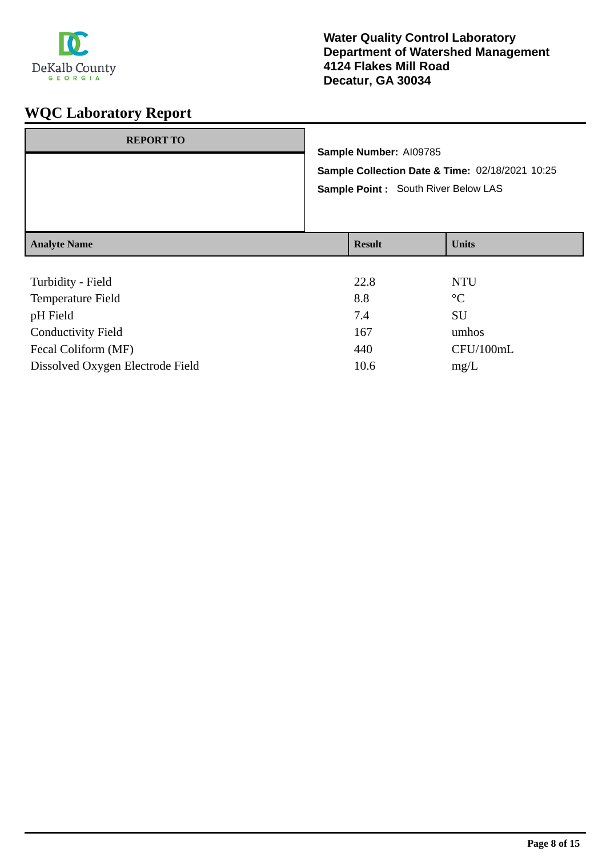

| <b>REPORT TO</b>    |                                                                                         | Sample Number: AI09785 |              |
|---------------------|-----------------------------------------------------------------------------------------|------------------------|--------------|
|                     | Sample Collection Date & Time: 02/18/2021 10:25<br>Sample Point : South River Below LAS |                        |              |
| <b>Analyte Name</b> |                                                                                         | <b>Result</b>          | <b>Units</b> |
| Turbidity - Field   |                                                                                         | 22.8                   | NTU          |

| 44.O | IVIU            |
|------|-----------------|
| 8.8  | $\rm ^{\circ}C$ |
| 7.4  | <b>SU</b>       |
| 167  | umhos           |
| 440  | CFU/100mL       |
| 10.6 | mg/L            |
|      |                 |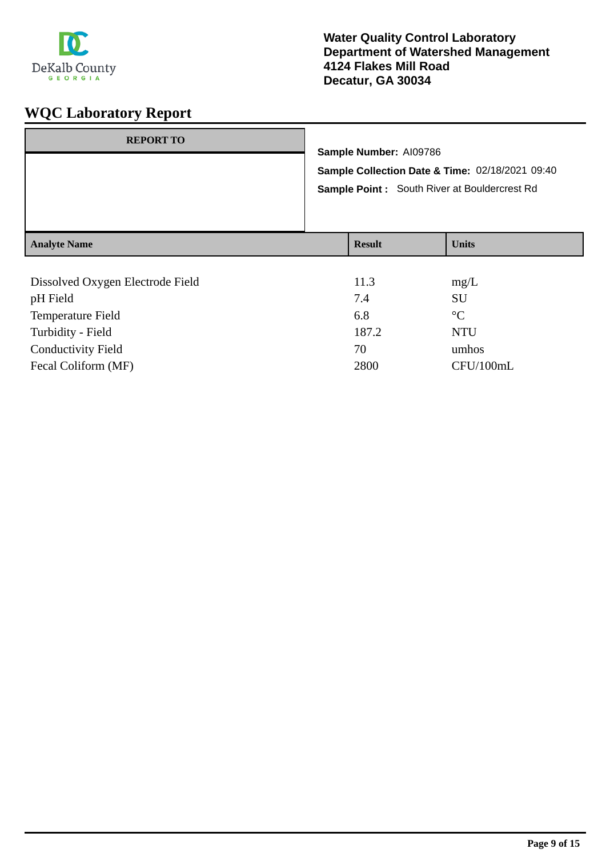

| <b>Analyte Name</b> |                                                                                                                                  | <b>Result</b> | <b>Units</b> |
|---------------------|----------------------------------------------------------------------------------------------------------------------------------|---------------|--------------|
|                     |                                                                                                                                  |               |              |
|                     | Sample Number: AI09786<br>Sample Collection Date & Time: 02/18/2021 09:40<br><b>Sample Point:</b> South River at Bouldercrest Rd |               |              |
| <b>REPORT TO</b>    |                                                                                                                                  |               |              |

| Dissolved Oxygen Electrode Field | 11.3  | mg/L            |
|----------------------------------|-------|-----------------|
| pH Field                         | 7.4   | <b>SU</b>       |
| <b>Temperature Field</b>         | 6.8   | $\rm ^{\circ}C$ |
| Turbidity - Field                | 187.2 | <b>NTU</b>      |
| <b>Conductivity Field</b>        | 70    | umhos           |
| Fecal Coliform (MF)              | 2800  | CFU/100mL       |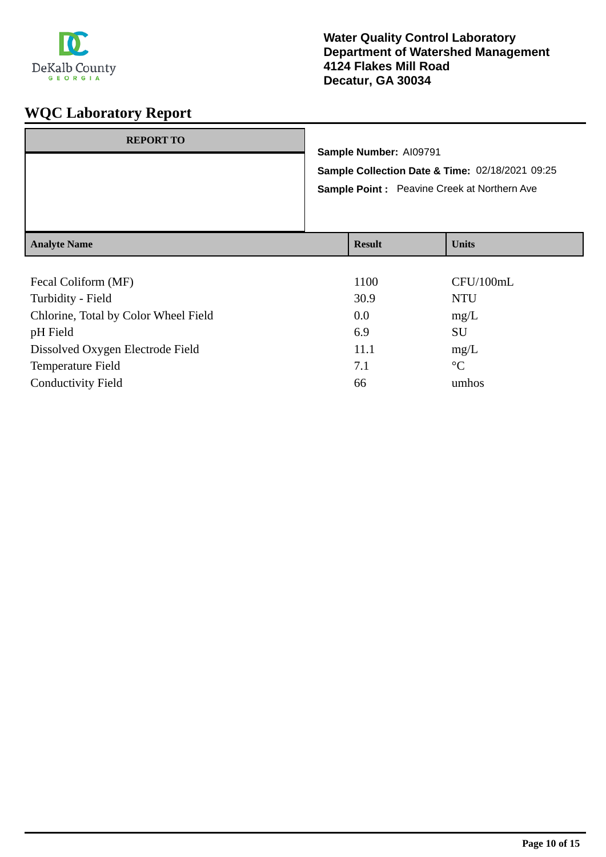

| <b>REPORT TO</b>    | Sample Number: AI09791<br>Sample Point : Peavine Creek at Northern Ave | Sample Collection Date & Time: 02/18/2021 09:25 |
|---------------------|------------------------------------------------------------------------|-------------------------------------------------|
| <b>Analyte Name</b> | <b>Result</b>                                                          | <b>Units</b>                                    |
|                     |                                                                        |                                                 |

| Fecal Coliform (MF)                  | 1100 | CFU/100mL       |
|--------------------------------------|------|-----------------|
| Turbidity - Field                    | 30.9 | <b>NTU</b>      |
| Chlorine, Total by Color Wheel Field | 0.0  | mg/L            |
| pH Field                             | 6.9  | SU              |
| Dissolved Oxygen Electrode Field     | 11.1 | mg/L            |
| <b>Temperature Field</b>             | 7.1  | $\rm ^{\circ}C$ |
| <b>Conductivity Field</b>            | 66   | umhos           |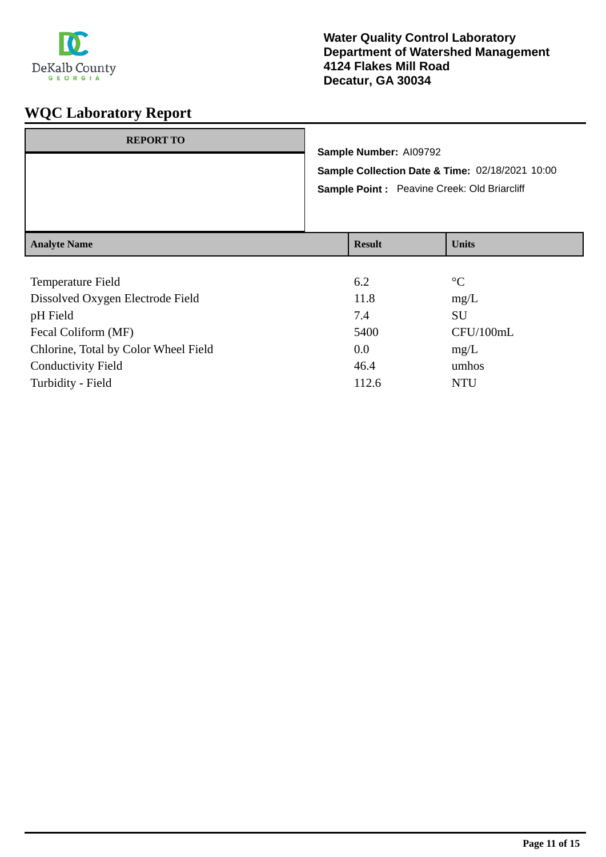

| <b>REPORT TO</b>    |               | Sample Number: AI09792 | Sample Collection Date & Time: 02/18/2021 10:00<br>Sample Point: Peavine Creek: Old Briarcliff |
|---------------------|---------------|------------------------|------------------------------------------------------------------------------------------------|
| <b>Analyte Name</b> | <b>Result</b> |                        | <b>Units</b>                                                                                   |

| 6.2   | $\rm ^{\circ}C$ |
|-------|-----------------|
| 11.8  | mg/L            |
| 7.4   | SU              |
| 5400  | CFU/100mL       |
| 0.0   | mg/L            |
| 46.4  | umhos           |
| 112.6 | <b>NTU</b>      |
|       |                 |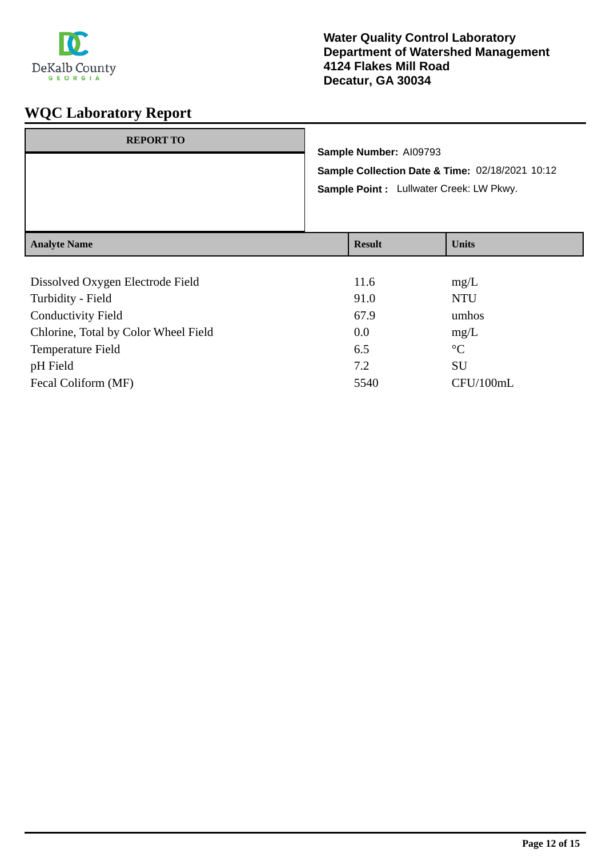

| <b>REPORT TO</b>    | Sample Number: AI09793<br>Sample Point : Lullwater Creek: LW Pkwy. | Sample Collection Date & Time: 02/18/2021 10:12 |
|---------------------|--------------------------------------------------------------------|-------------------------------------------------|
| <b>Analyte Name</b> | <b>Result</b>                                                      | <b>Units</b>                                    |

| Dissolved Oxygen Electrode Field     | 11.6 | mg/L            |
|--------------------------------------|------|-----------------|
| Turbidity - Field                    | 91.0 | <b>NTU</b>      |
| <b>Conductivity Field</b>            | 67.9 | umhos           |
| Chlorine, Total by Color Wheel Field | 0.0  | mg/L            |
| Temperature Field                    | 6.5  | $\rm ^{\circ}C$ |
| pH Field                             | 7.2  | SU              |
| Fecal Coliform (MF)                  | 5540 | CFU/100mL       |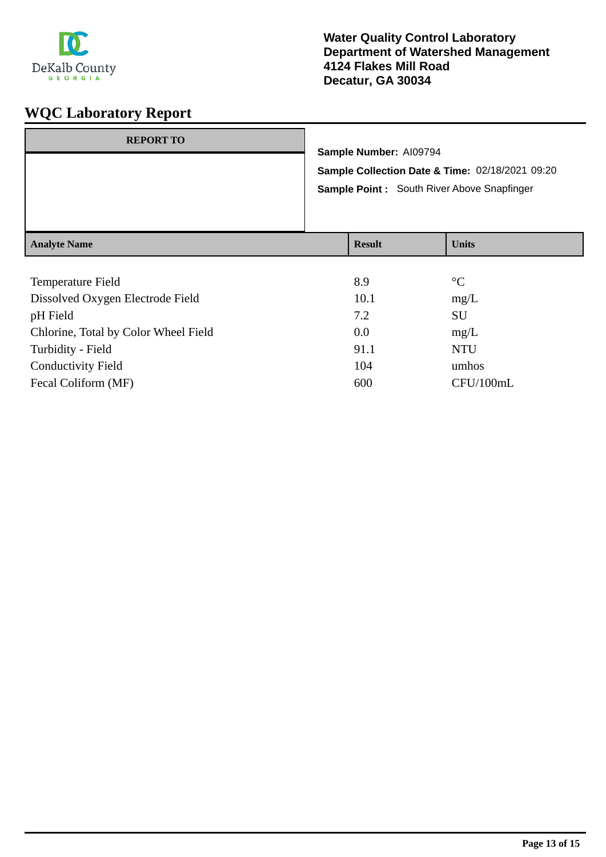

| <b>REPORT TO</b>    | Sample Number: AI09794<br>Sample Point: South River Above Snapfinger | Sample Collection Date & Time: 02/18/2021 09:20 |
|---------------------|----------------------------------------------------------------------|-------------------------------------------------|
| <b>Analyte Name</b> | <b>Result</b>                                                        | <b>Units</b>                                    |

| Temperature Field                    | 8.9  | $\rm ^{\circ}C$ |
|--------------------------------------|------|-----------------|
| Dissolved Oxygen Electrode Field     | 10.1 | mg/L            |
| pH Field                             | 7.2  | SU              |
| Chlorine, Total by Color Wheel Field | 0.0  | mg/L            |
| Turbidity - Field                    | 91.1 | <b>NTU</b>      |
| <b>Conductivity Field</b>            | 104  | umhos           |
| Fecal Coliform (MF)                  | 600  | CFU/100mL       |
|                                      |      |                 |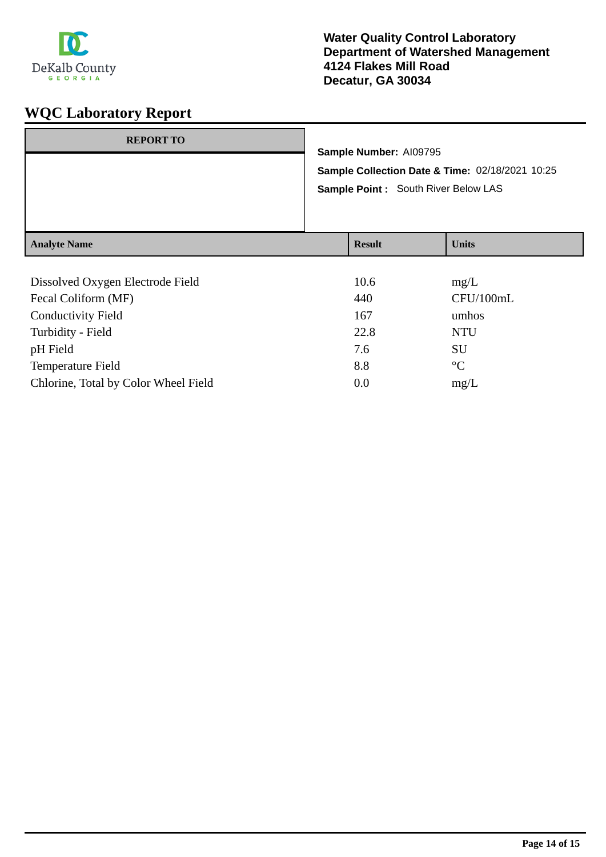

| <b>REPORT TO</b>    | Sample Number: AI09795<br>Sample Point : South River Below LAS | Sample Collection Date & Time: 02/18/2021 10:25 |
|---------------------|----------------------------------------------------------------|-------------------------------------------------|
| <b>Analyte Name</b> | <b>Result</b>                                                  | <b>Units</b>                                    |

| Dissolved Oxygen Electrode Field     | 10.6 | mg/L            |
|--------------------------------------|------|-----------------|
| Fecal Coliform (MF)                  | 440  | CFU/100mL       |
| <b>Conductivity Field</b>            | 167  | umhos           |
| Turbidity - Field                    | 22.8 | <b>NTU</b>      |
| pH Field                             | 7.6  | SU              |
| Temperature Field                    | 8.8  | $\rm ^{\circ}C$ |
| Chlorine, Total by Color Wheel Field | 0.0  | mg/L            |